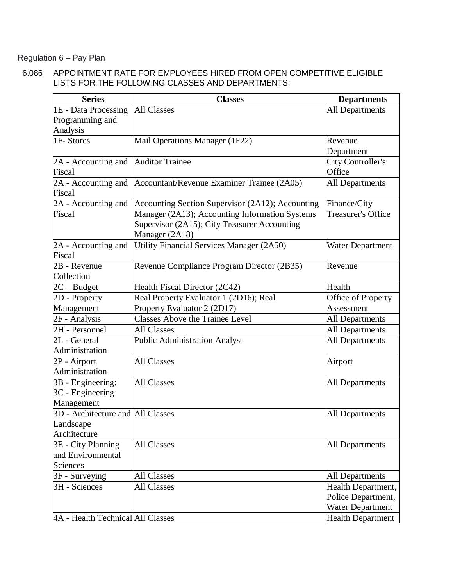Regulation 6 – Pay Plan

 6.086 APPOINTMENT RATE FOR EMPLOYEES HIRED FROM OPEN COMPETITIVE ELIGIBLE LISTS FOR THE FOLLOWING CLASSES AND DEPARTMENTS:

| <b>Series</b>                     | <b>Classes</b>                                   | <b>Departments</b>        |
|-----------------------------------|--------------------------------------------------|---------------------------|
| 1E - Data Processing              | <b>All Classes</b>                               | <b>All Departments</b>    |
| Programming and                   |                                                  |                           |
| Analysis                          |                                                  |                           |
| 1F-Stores                         | Mail Operations Manager (1F22)                   | Revenue                   |
|                                   |                                                  | Department                |
| 2A - Accounting and               | <b>Auditor Trainee</b>                           | City Controller's         |
| Fiscal                            |                                                  | Office                    |
| 2A - Accounting and               | Accountant/Revenue Examiner Trainee (2A05)       | <b>All Departments</b>    |
| Fiscal                            |                                                  |                           |
| 2A - Accounting and               | Accounting Section Supervisor (2A12); Accounting | Finance/City              |
| Fiscal                            | Manager (2A13); Accounting Information Systems   | <b>Treasurer's Office</b> |
|                                   | Supervisor (2A15); City Treasurer Accounting     |                           |
|                                   | Manager (2A18)                                   |                           |
| 2A - Accounting and               | Utility Financial Services Manager (2A50)        | Water Department          |
| Fiscal                            |                                                  |                           |
| 2B - Revenue                      | Revenue Compliance Program Director (2B35)       | Revenue                   |
| Collection                        |                                                  |                           |
| $2C - Budget$                     | Health Fiscal Director (2C42)                    | Health                    |
| 2D - Property                     | Real Property Evaluator 1 (2D16); Real           | Office of Property        |
| Management                        | Property Evaluator 2 (2D17)                      | Assessment                |
| 2F - Analysis                     | Classes Above the Trainee Level                  | All Departments           |
| 2H - Personnel                    | <b>All Classes</b>                               | All Departments           |
| 2L - General                      | Public Administration Analyst                    | <b>All Departments</b>    |
| Administration                    |                                                  |                           |
| 2P - Airport                      | <b>All Classes</b>                               | Airport                   |
| Administration                    |                                                  |                           |
| 3B - Engineering;                 | <b>All Classes</b>                               | <b>All Departments</b>    |
| 3C - Engineering                  |                                                  |                           |
| Management                        |                                                  |                           |
| 3D - Architecture and All Classes |                                                  | <b>All Departments</b>    |
| Landscape                         |                                                  |                           |
| Architecture                      |                                                  |                           |
| 3E - City Planning                | <b>All Classes</b>                               | <b>All Departments</b>    |
| and Environmental                 |                                                  |                           |
| <b>Sciences</b>                   |                                                  |                           |
| 3F - Surveying                    | <b>All Classes</b>                               | <b>All Departments</b>    |
| 3H - Sciences                     | <b>All Classes</b>                               | Health Department,        |
|                                   |                                                  | Police Department,        |
|                                   |                                                  | <b>Water Department</b>   |
| 4A - Health Technical All Classes |                                                  | <b>Health Department</b>  |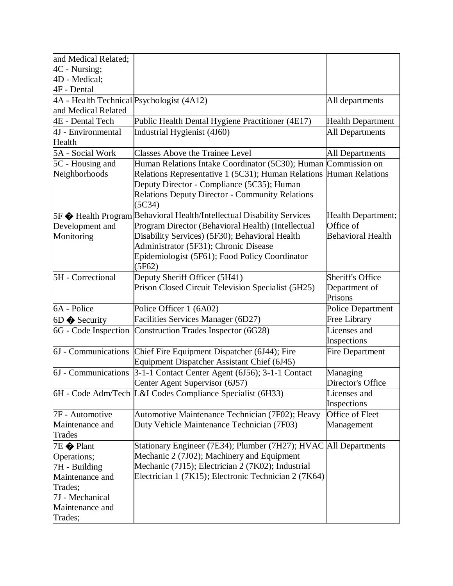| and Medical Related;                      |                                                                                 |                          |
|-------------------------------------------|---------------------------------------------------------------------------------|--------------------------|
| 4C - Nursing;                             |                                                                                 |                          |
| 4D - Medical;                             |                                                                                 |                          |
| $4F - Dental$                             |                                                                                 |                          |
| 4A - Health Technical Psychologist (4A12) |                                                                                 | All departments          |
| and Medical Related                       |                                                                                 |                          |
| 4E - Dental Tech                          | Public Health Dental Hygiene Practitioner (4E17)                                | <b>Health Department</b> |
| 4J - Environmental                        | Industrial Hygienist (4J60)                                                     | <b>All Departments</b>   |
| Health                                    |                                                                                 |                          |
| 5A - Social Work                          | <b>Classes Above the Trainee Level</b>                                          | <b>All Departments</b>   |
| 5C - Housing and                          | Human Relations Intake Coordinator (5C30); Human                                | Commission on            |
| Neighborhoods                             | Relations Representative 1 (5C31); Human Relations                              | <b>Human Relations</b>   |
|                                           | Deputy Director - Compliance (5C35); Human                                      |                          |
|                                           | Relations Deputy Director - Community Relations                                 |                          |
|                                           | (5C34)                                                                          |                          |
|                                           | 5F $\bigcirc$ Health Program Behavioral Health/Intellectual Disability Services | Health Department;       |
| Development and                           | Program Director (Behavioral Health) (Intellectual                              | Office of                |
| Monitoring                                | Disability Services) (5F30); Behavioral Health                                  | <b>Behavioral Health</b> |
|                                           | Administrator (5F31); Chronic Disease                                           |                          |
|                                           | Epidemiologist (5F61); Food Policy Coordinator                                  |                          |
|                                           | (5F62)                                                                          |                          |
| 5H - Correctional                         | Deputy Sheriff Officer (5H41)                                                   | Sheriff's Office         |
|                                           | Prison Closed Circuit Television Specialist (5H25)                              | Department of            |
|                                           |                                                                                 | Prisons                  |
| 6A - Police                               | Police Officer 1 (6A02)                                                         | <b>Police Department</b> |
| $6D \Leftrightarrow$ Security             | Facilities Services Manager (6D27)                                              | Free Library             |
| 6G - Code Inspection                      | Construction Trades Inspector (6G28)                                            | Licenses and             |
|                                           |                                                                                 | Inspections              |
| 6J - Communications                       | Chief Fire Equipment Dispatcher (6J44); Fire                                    | Fire Department          |
|                                           | Equipment Dispatcher Assistant Chief (6J45)                                     |                          |
| 6J - Communications                       | $\overline{3-1-1}$ Contact Center Agent (6J56); 3-1-1 Contact                   | Managing                 |
|                                           | Center Agent Supervisor (6J57)                                                  | Director's Office        |
|                                           | 6H - Code Adm/Tech L&I Codes Compliance Specialist (6H33)                       | Licenses and             |
|                                           |                                                                                 | Inspections              |
| 7F - Automotive                           | Automotive Maintenance Technician (7F02); Heavy                                 | Office of Fleet          |
| Maintenance and                           | Duty Vehicle Maintenance Technician (7F03)                                      | Management               |
| Trades                                    |                                                                                 |                          |
| 7E Plant                                  | Stationary Engineer (7E34); Plumber (7H27); HVAC All Departments                |                          |
| Operations;                               | Mechanic 2 (7J02); Machinery and Equipment                                      |                          |
| 7H - Building                             | Mechanic (7J15); Electrician 2 (7K02); Industrial                               |                          |
| Maintenance and                           | Electrician 1 (7K15); Electronic Technician 2 (7K64)                            |                          |
| Trades;                                   |                                                                                 |                          |
| 7J - Mechanical                           |                                                                                 |                          |
| Maintenance and                           |                                                                                 |                          |
| Trades;                                   |                                                                                 |                          |